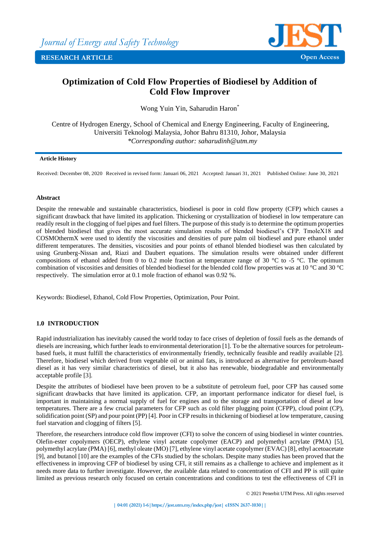

# **Optimization of Cold Flow Properties of Biodiesel by Addition of Cold Flow Improver**

Wong Yuin Yin, Saharudin Haron\*

Centre of Hydrogen Energy, School of Chemical and Energy Engineering, Faculty of Engineering, Universiti Teknologi Malaysia, Johor Bahru 81310, Johor, Malaysia *\*Corresponding author: saharudinh@utm.my*

## **Article History**

Received: December 08, 2020 Received in revised form: Januari 06, 2021 Accepted: Januari 31, 2021 Published Online: June 30, 2021

## **Abstract**

Despite the renewable and sustainable characteristics, biodiesel is poor in cold flow property (CFP) which causes a significant drawback that have limited its application. Thickening or crystallization of biodiesel in low temperature can readily result in the clogging of fuel pipes and fuel filters. The purpose of this study is to determine the optimum properties of blended biodiesel that gives the most accurate simulation results of blended biodiesel's CFP. TmoleX18 and COSMOthermX were used to identify the viscosities and densities of pure palm oil biodiesel and pure ethanol under different temperatures. The densities, viscosities and pour points of ethanol blended biodiesel was then calculated by using Grunberg-Nissan and, Riazi and Daubert equations. The simulation results were obtained under different compositions of ethanol added from 0 to 0.2 mole fraction at temperature range of 30 °C to -5 °C. The optimum combination of viscosities and densities of blended biodiesel for the blended cold flow properties was at 10 °C and 30 °C respectively. The simulation error at 0.1 mole fraction of ethanol was 0.92 %.

Keywords: Biodiesel, Ethanol, Cold Flow Properties, Optimization, Pour Point.

# **1.0 INTRODUCTION**

Rapid industrialization has inevitably caused the world today to face crises of depletion of fossil fuels as the demands of diesels are increasing, which further leads to environmental deterioration [1]. To be the alternative sources for petroleumbased fuels, it must fulfill the characteristics of environmentally friendly, technically feasible and readily available [2]. Therefore, biodiesel which derived from vegetable oil or animal fats, is introduced as alternative for petroleum-based diesel as it has very similar characteristics of diesel, but it also has renewable, biodegradable and environmentally acceptable profile [3].

Despite the attributes of biodiesel have been proven to be a substitute of petroleum fuel, poor CFP has caused some significant drawbacks that have limited its application. CFP, an important performance indicator for diesel fuel, is important in maintaining a normal supply of fuel for engines and to the storage and transportation of diesel at low temperatures. There are a few crucial parameters for CFP such as cold filter plugging point (CFPP), cloud point (CP), solidification point (SP) and pour point (PP) [4]. Poor in CFP results in thickening of biodiesel at low temperature, causing fuel starvation and clogging of filters [5].

Therefore, the researchers introduce cold flow improver (CFI) to solve the concern of using biodiesel in winter countries. Olefin-ester copolymers (OECP), ethylene vinyl acetate copolymer (EACP) and polymethyl acrylate (PMA) [5], polymethyl acrylate (PMA) [6], methyl oleate (MO) [7], ethylene vinyl acetate copolymer (EVAC) [8], ethyl acetoacetate [9], and butanol [10] are the examples of the CFIs studied by the scholars. Despite many studies has been proved that the effectiveness in improving CFP of biodiesel by using CFI, it still remains as a challenge to achieve and implement as it needs more data to further investigate. However, the available data related to concentration of CFI and PP is still quite limited as previous research only focused on certain concentrations and conditions to test the effectiveness of CFI in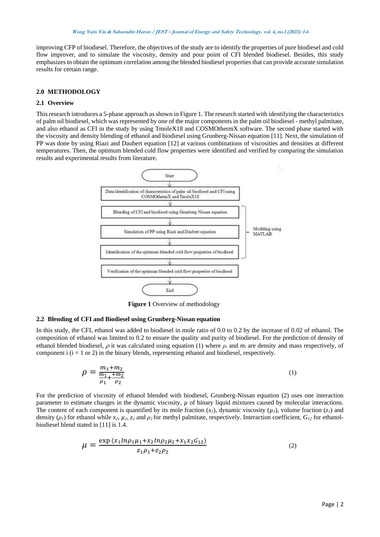improving CFP of biodiesel. Therefore, the objectives of the study are to identify the properties of pure biodiesel and cold flow improver, and to simulate the viscosity, density and pour point of CFI blended biodiesel. Besides, this study emphasizesto obtain the optimum correlation among the blended biodiesel properties that can provide accurate simulation results for certain range.

## **2.0 METHODOLOGY**

## **2.1 Overview**

This research introduces a 5-phase approach as shown in Figure 1. The research started with identifying the characteristics of palm oil biodiesel, which was represented by one of the major components in the palm oil biodiesel - methyl palmitate, and also ethanol as CFI in the study by using TmoleX18 and COSMOthermX software. The second phase started with the viscosity and density blending of ethanol and biodiesel using Grunberg-Nissan equation [11]. Next, the simulation of PP was done by using Riazi and Daubert equation [12] at various combinations of viscosities and densities at different temperatures. Then, the optimum blended cold flow properties were identified and verified by comparing the simulation results and experimental results from literature.



**Figure 1** Overview of methodology

### **2.2 Blending of CFI and Biodiesel using Grunberg-Nissan equation**

In this study, the CFI, ethanol was added to biodiesel in mole ratio of 0.0 to 0.2 by the increase of 0.02 of ethanol. The composition of ethanol was limited to 0.2 to ensure the quality and purity of biodiesel. For the prediction of density of ethanol blended biodiesel,  $\rho$  it was calculated using equation (1) where  $\rho_i$  and  $m_i$  are density and mass respectively, of component i  $(i = 1 \text{ or } 2)$  in the binary blends, representing ethanol and biodiesel, respectively.

$$
\rho = \frac{m_1 + m_2}{\frac{m_1}{\rho_1} + \frac{m_2}{\rho_2}}\tag{1}
$$

For the prediction of viscosity of ethanol blended with biodiesel, Grunberg-Nissan equation (2) uses one interaction parameter to estimate changes in the dynamic viscosity,  $\mu$  of binary liquid mixtures caused by molecular interactions. The content of each component is quantified by its mole fraction  $(x_l)$ , dynamic viscosity  $(\mu_l)$ , volume fraction  $(z_l)$  and density ( $\rho$ *<sub>1</sub>*) for ethanol while *x*<sub>2</sub>,  $\mu$ <sub>2</sub>,  $z$ <sub>2</sub> and  $\rho$ <sub>2</sub> for methyl palmitate, respectively. Interaction coefficient,  $G$ <sub>*1*2</sub> for ethanolbiodiesel blend stated in [11] is 1.4.

$$
\mu = \frac{\exp(x_1 \ln \rho_1 \mu_1 + x_2 \ln \rho_2 \mu_2 + x_1 x_2 G_{12})}{z_1 \rho_1 + z_2 \rho_2} \tag{2}
$$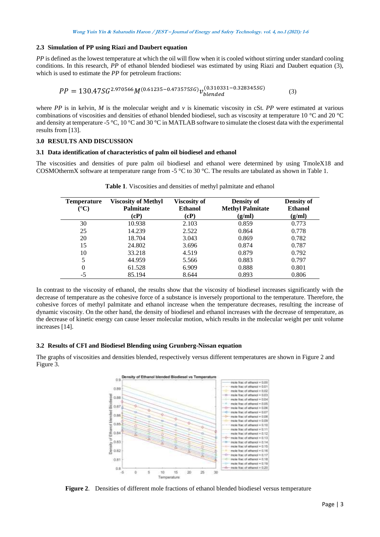#### **2.3 Simulation of PP using Riazi and Daubert equation**

*PP* is defined as the lowest temperature at which the oil will flow when it is cooled without stirring under standard cooling conditions. In this research, *PP* of ethanol blended biodiesel was estimated by using Riazi and Daubert equation (3), which is used to estimate the *PP* for petroleum fractions:

$$
PP = 130.47SG^{2.970566}M^{(0.61235 - 0.473575SG)}v_{blended}^{(0.310331 - 0.328345SG)}
$$
\n(3)

where *PP* is in kelvin, *M* is the molecular weight and *v* is kinematic viscosity in cSt. *PP* were estimated at various combinations of viscosities and densities of ethanol blended biodiesel, such as viscosity at temperature 10 °C and 20 °C and density at temperature -5 °C, 10 °C and 30 °C in MATLAB software to simulate the closest data with the experimental results from [13].

## **3.0 RESULTS AND DISCUSSION**

#### **3.1 Data identification of characteristics of palm oil biodiesel and ethanol**

The viscosities and densities of pure palm oil biodiesel and ethanol were determined by using TmoleX18 and COSMOthermX software at temperature range from -5 °C to 30 °C. The results are tabulated as shown in Table 1.

| <b>Temperature</b><br>(°C) | <b>Viscosity of Methyl</b><br>Palmitate | <b>Viscosity of</b><br><b>Ethanol</b> | <b>Density of</b><br><b>Methyl Palmitate</b> | <b>Density of</b><br><b>Ethanol</b> |
|----------------------------|-----------------------------------------|---------------------------------------|----------------------------------------------|-------------------------------------|
|                            | (cP)                                    | (cP)                                  | (g/ml)                                       | (g/ml)                              |
| 30                         | 10.938                                  | 2.103                                 | 0.859                                        | 0.773                               |
| 25                         | 14.239                                  | 2.522                                 | 0.864                                        | 0.778                               |
| 20                         | 18.704                                  | 3.043                                 | 0.869                                        | 0.782                               |
| 15                         | 24.802                                  | 3.696                                 | 0.874                                        | 0.787                               |
| 10                         | 33.218                                  | 4.519                                 | 0.879                                        | 0.792                               |
| 5                          | 44.959                                  | 5.566                                 | 0.883                                        | 0.797                               |
| $\theta$                   | 61.528                                  | 6.909                                 | 0.888                                        | 0.801                               |
| $-5$                       | 85.194                                  | 8.644                                 | 0.893                                        | 0.806                               |

**Table 1**. Viscosities and densities of methyl palmitate and ethanol

In contrast to the viscosity of ethanol, the results show that the viscosity of biodiesel increases significantly with the decrease of temperature as the cohesive force of a substance is inversely proportional to the temperature. Therefore, the cohesive forces of methyl palmitate and ethanol increase when the temperature decreases, resulting the increase of dynamic viscosity. On the other hand, the density of biodiesel and ethanol increases with the decrease of temperature, as the decrease of kinetic energy can cause lesser molecular motion, which results in the molecular weight per unit volume increases [14].

## **3.2 Results of CFI and Biodiesel Blending using Grunberg-Nissan equation**

The graphs of viscosities and densities blended, respectively versus different temperatures are shown in Figure 2 and Figure 3.



**Figure 2**. Densities of different mole fractions of ethanol blended biodiesel versus temperature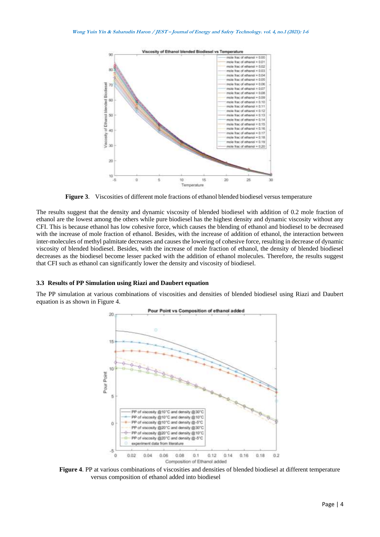

**Figure 3**. Viscosities of different mole fractions of ethanol blended biodiesel versus temperature

The results suggest that the density and dynamic viscosity of blended biodiesel with addition of 0.2 mole fraction of ethanol are the lowest among the others while pure biodiesel has the highest density and dynamic viscosity without any CFI. This is because ethanol has low cohesive force, which causes the blending of ethanol and biodiesel to be decreased with the increase of mole fraction of ethanol. Besides, with the increase of addition of ethanol, the interaction between inter-molecules of methyl palmitate decreases and causes the lowering of cohesive force, resulting in decrease of dynamic viscosity of blended biodiesel. Besides, with the increase of mole fraction of ethanol, the density of blended biodiesel decreases as the biodiesel become lesser packed with the addition of ethanol molecules. Therefore, the results suggest that CFI such as ethanol can significantly lower the density and viscosity of biodiesel.

#### **3.3 Results of PP Simulation using Riazi and Daubert equation**

The PP simulation at various combinations of viscosities and densities of blended biodiesel using Riazi and Daubert equation is as shown in Figure 4.



**Figure 4**. PP at various combinations of viscosities and densities of blended biodiesel at different temperature versus composition of ethanol added into biodiesel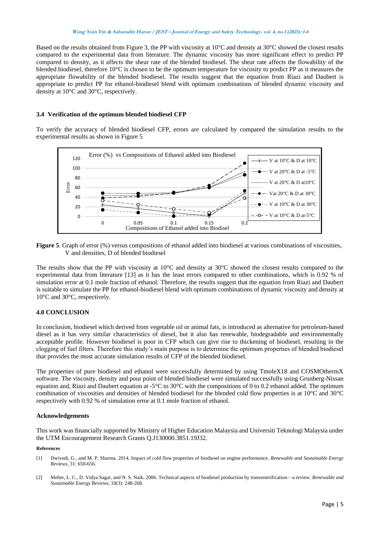Based on the results obtained from Figure 3, the PP with viscosity at 10°C and density at 30°C showed the closest results compared to the experimental data from literature. The dynamic viscosity has more significant effect to predict PP compared to density, as it affects the shear rate of the blended biodiesel. The shear rate affects the flowability of the blended biodiesel, therefore 10°C is chosen to be the optimum temperature for viscosity to predict PP as it measures the appropriate flowability of the blended biodiesel. The results suggest that the equation from Riazi and Daubert is appropriate to predict PP for ethanol-biodiesel blend with optimum combinations of blended dynamic viscosity and density at 10°C and 30°C, respectively.

## **3.4 Verification of the optimum blended biodiesel CFP**

To verify the accuracy of blended biodiesel CFP, errors are calculated by compared the simulation results to the experimental results as shown in Figure 5



**Figure 5**. Graph of error (%) versus compositions of ethanol added into biodiesel at various combinations of viscosities, V and densities, D of blended biodiesel

The results show that the PP with viscosity at 10°C and density at 30°C showed the closest results compared to the experimental data from literature [13] as it has the least errors compared to other combinations, which is 0.92 % of simulation error at 0.1 mole fraction of ethanol. Therefore, the results suggest that the equation from Riazi and Daubert is suitable to simulate the PP for ethanol-biodiesel blend with optimum combinations of dynamic viscosity and density at 10°C and 30°C, respectively.

# **4.0 CONCLUSION**

In conclusion, biodiesel which derived from vegetable oil or animal fats, is introduced as alternative for petroleum-based diesel as it has very similar characteristics of diesel, but it also has renewable, biodegradable and environmentally acceptable profile. However biodiesel is poor in CFP which can give rise to thickening of biodiesel, resulting in the clogging of fuel filters. Therefore this study's main purpose is to determine the optimum properties of blended biodiesel that provides the most accurate simulation results of CFP of the blended biodiesel.

The properties of pure biodiesel and ethanol were successfully determined by using TmoleX18 and COSMOthermX software. The viscosity, density and pour point of blended biodiesel were simulated successfully using Grunberg-Nissan equation and, Riazi and Daubert equation at -5°C to 30°C with the compositions of 0 to 0.2 ethanol added. The optimum combination of viscosities and densities of blended biodiesel for the blended cold flow properties is at 10°C and 30°C respectively with 0.92 % of simulation error at 0.1 mole fraction of ethanol.

#### **Acknowledgements**

This work was financially supported by Ministry of Higher Education Malaysia and Universiti Teknologi Malaysia under the UTM Encouragement Research Grants Q.J130000.3851.19J32.

#### **References**

- [1] Dwivedi, G., and M. P. Sharma. 2014. Impact of cold flow properties of biodiesel on engine performance. *Renewable and Sustainable Energy Reviews*, 31: 650-656.
- [2] Meher, L. C., D. Vidya Sagar, and N. S. Naik. 2006. Technical aspects of biodiesel production by transesterification—a review. *Renewable and Sustainable Energy Reviews*, 10(3): 248-268.